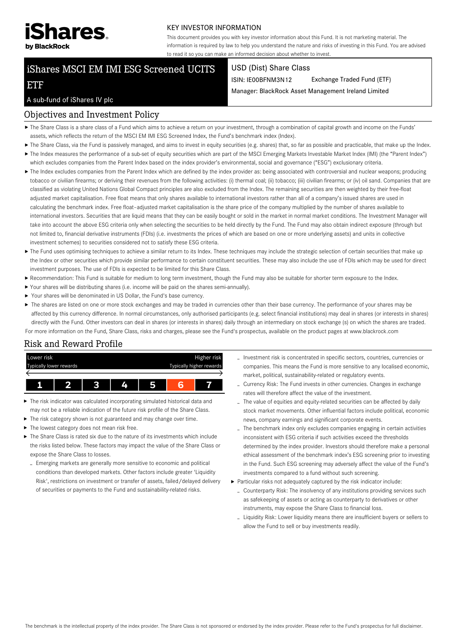

#### KEY INVESTOR INFORMATION

This document provides you with key investor information about this Fund. It is not marketing material. The information is required by law to help you understand the nature and risks of investing in this Fund. You are advised to read it so you can make an informed decision about whether to invest.

# iShares MSCI EM IMI ESG Screened UCITS

#### USD (Dist) Share Class

ISIN: IE00BFNM3N12 Exchange Traded Fund (ETF)

Manager: BlackRock Asset Management Ireland Limited

# A sub-fund of iShares IV plc

ETF

## Objectives and Investment Policy

- ▶ The Share Class is a share class of a Fund which aims to achieve a return on your investment, through a combination of capital growth and income on the Funds' assets, which reflects the return of the MSCI EM IMI ESG Screened Index, the Fund's benchmark index (Index).
- ▶ The Share Class, via the Fund is passively managed, and aims to invest in equity securities (e.g. shares) that, so far as possible and practicable, that make up the Index.
- ▶ The Index measures the performance of a sub-set of equity securities which are part of the MSCI Emerging Markets Investable Market Index (IMI) (the "Parent Index") which excludes companies from the Parent Index based on the index provider's environmental, social and governance ("ESG") exclusionary criteria.
- ▶ The Index excludes companies from the Parent Index which are defined by the index provider as: being associated with controversial and nuclear weapons; producing tobacco or civilian firearms; or deriving their revenues from the following activities: (i) thermal coal; (ii) tobacco; (iii) civilian firearms; or (iv) oil sand. Companies that are classified as violating United Nations Global Compact principles are also excluded from the Index. The remaining securities are then weighted by their free-float adjusted market capitalisation. Free float means that only shares available to international investors rather than all of a company's issued shares are used in calculating the benchmark index. Free float–adjusted market capitalisation is the share price of the company multiplied by the number of shares available to international investors. Securities that are liquid means that they can be easily bought or sold in the market in normal market conditions. The Investment Manager will take into account the above ESG criteria only when selecting the securities to be held directly by the Fund. The Fund may also obtain indirect exposure (through but not limited to, financial derivative instruments (FDIs) (i.e. investments the prices of which are based on one or more underlying assets) and units in collective investment schemes) to securities considered not to satisfy these ESG criteria.
- ▶ The Fund uses optimising techniques to achieve a similar return to its Index. These techniques may include the strategic selection of certain securities that make up the Index or other securities which provide similar performance to certain constituent securities. These may also include the use of FDIs which may be used for direct investment purposes. The use of FDIs is expected to be limited for this Share Class.
- Recommendation: This Fund is suitable for medium to long term investment, though the Fund may also be suitable for shorter term exposure to the Index.
- Your shares will be distributing shares (i.e. income will be paid on the shares semi-annually).
- Your shares will be denominated in US Dollar, the Fund's base currency.
- ▶ The shares are listed on one or more stock exchanges and may be traded in currencies other than their base currency. The performance of your shares may be affected by this currency difference. In normal circumstances, only authorised participants (e.g. select financial institutions) may deal in shares (or interests in shares) directly with the Fund. Other investors can deal in shares (or interests in shares) daily through an intermediary on stock exchange (s) on which the shares are traded. For more information on the Fund, Share Class, risks and charges, please see the Fund's prospectus, available on the product pages at www.blackrock.com

# Risk and Reward Profile



- ь The risk indicator was calculated incorporating simulated historical data and may not be a reliable indication of the future risk profile of the Share Class.
- The risk category shown is not guaranteed and may change over time.
- $\blacktriangleright$  The lowest category does not mean risk free.
- $\blacktriangleright$  The Share Class is rated six due to the nature of its investments which include the risks listed below. These factors may impact the value of the Share Class or expose the Share Class to losses.
- Emerging markets are generally more sensitive to economic and political conditions than developed markets. Other factors include greater 'Liquidity Risk', restrictions on investment or transfer of assets, failed/delayed delivery of securities or payments to the Fund and sustainability-related risks.
- Investment risk is concentrated in specific sectors, countries, currencies or companies. This means the Fund is more sensitive to any localised economic, market, political, sustainability-related or regulatory events.
- Currency Risk: The Fund invests in other currencies. Changes in exchange rates will therefore affect the value of the investment.
- The value of equities and equity-related securities can be affected by daily stock market movements. Other influential factors include political, economic news, company earnings and significant corporate events.
- The benchmark index only excludes companies engaging in certain activities inconsistent with ESG criteria if such activities exceed the thresholds determined by the index provider. Investors should therefore make a personal ethical assessment of the benchmark index's ESG screening prior to investing in the Fund. Such ESG screening may adversely affect the value of the Fund's investments compared to a fund without such screening.
- Particular risks not adequately captured by the risk indicator include:
- Counterparty Risk: The insolvency of any institutions providing services such as safekeeping of assets or acting as counterparty to derivatives or other instruments, may expose the Share Class to financial loss.
- Liquidity Risk: Lower liquidity means there are insufficient buyers or sellers to allow the Fund to sell or buy investments readily.